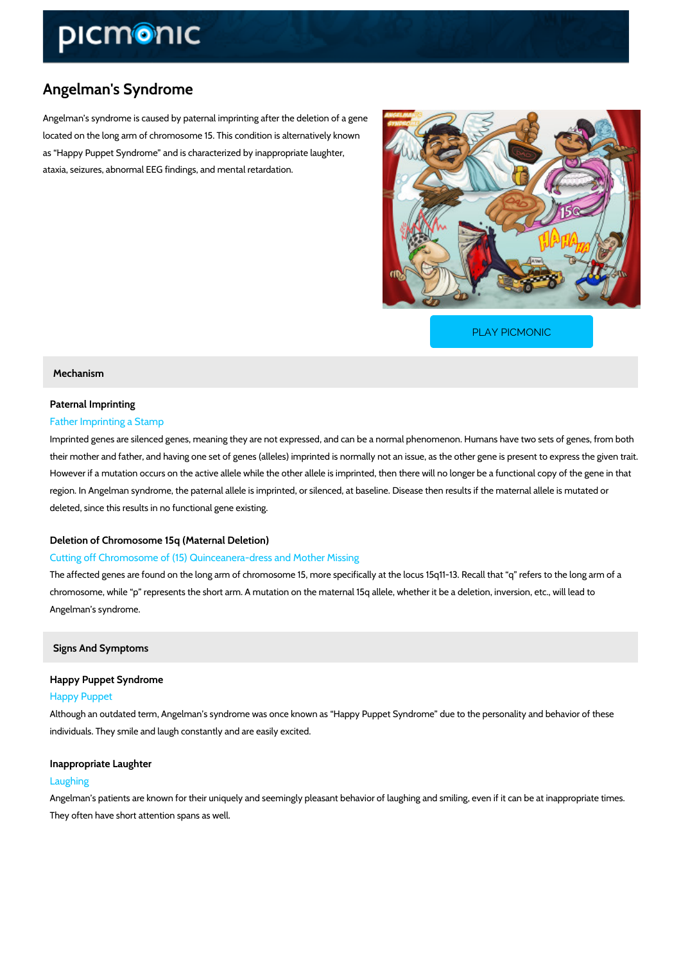## Angelman's Syndrome

Angelman s syndrome is caused by paternal imprinting after the deletion of a gene located on the long arm of chromosome 15. This condition is alternatively known as Happy Puppet Syndrome and is characterized by inappropriate laughter, ataxia, seizures, abnormal EEG findings, and mental retardation.

[PLAY PICMONIC](https://www.picmonic.com/learn/angelman-s-syndrome_2531?utm_source=downloadable_content&utm_medium=distributedcontent&utm_campaign=pathways_pdf&utm_content=Angelman)

#### Mechanism

# Paternal Imprinting

## Father Imprinting a Stamp

Imprinted genes are silenced genes, meaning they are not expressed, and can be a normal phenomenon. their mother and father, and having one set of genes (alleles) imprinted is normally not an iss However if a mutation occurs on the active allele while the other allele is imprinted, then the region. In Angelman syndrome, the paternal allele is imprinted, or silenced, at baseline. Dise deleted, since this results in no functional gene existing.

#### Deletion of Chromosome 15q (Maternal Deletion)

## Cutting off Chromosome of (15) Quinceanera-dress and Mother Missing

The affected genes are found on the long arm of chromosome 15, more specifically at the locu chromosome, while p represents the short arm. A mutation on the maternal 15q allele, wheth Angelman s syndrome.

Signs And Symptoms

Happy Puppet Syndrome Happy Puppet

Although an outdated term, Angelman s syndrome was once known as Happy Puppet Syndrome individuals. They smile and laugh constantly and are easily excited.

Inappropriate Laughter

#### Laughing

Angelman s patients are known for their uniquely and seemingly pleasant behavior of laughing They often have short attention spans as well.